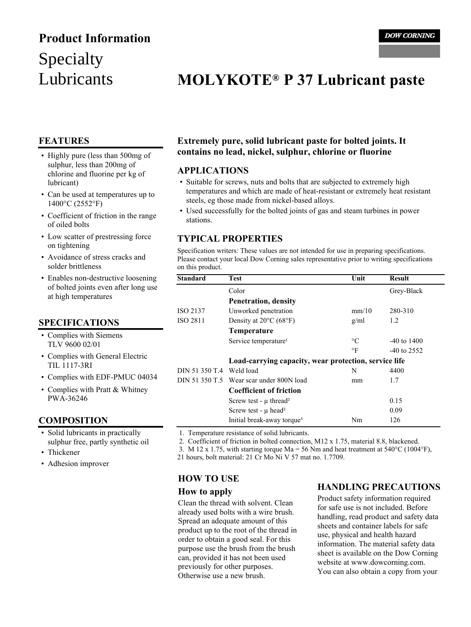# Specialty Lubricants **Product Information**

# **MOLYKOTE® P 37 Lubricant paste**

## **FEATURES**

- Highly pure (less than 500mg of sulphur, less than 200mg of chlorine and fluorine per kg of lubricant)
- Can be used at temperatures up to 1400°C (2552°F)
- Coefficient of friction in the range of oiled bolts
- Low scatter of prestressing force on tightening
- Avoidance of stress cracks and solder brittleness
- Enables non-destructive loosening of bolted joints even after long use at high temperatures

## **SPECIFICATIONS**

- Complies with Siemens TLV 9600 02/01
- Complies with General Electric TIL 1117-3RI
- Complies with EDF-PMUC 04034
- Complies with Pratt & Whitney PWA-36246

## **COMPOSITION**

- Solid lubricants in practically sulphur free, partly synthetic oil
- Thickener
- Adhesion improver

## **Extremely pure, solid lubricant paste for bolted joints. It contains no lead, nickel, sulphur, chlorine or fluorine**

### **APPLICATIONS**

- Suitable for screws, nuts and bolts that are subjected to extremely high temperatures and which are made of heat-resistant or extremely heat resistant steels, eg those made from nickel-based alloys.
- Used successfully for the bolted joints of gas and steam turbines in power stations.

### **TYPICAL PROPERTIES**

Specification writers: These values are not intended for use in preparing specifications. Please contact your local Dow Corning sales representative prior to writing specifications on this product.

| <b>Standard</b> | Test                                                  | Unit            | <b>Result</b>   |
|-----------------|-------------------------------------------------------|-----------------|-----------------|
|                 | Color                                                 |                 | Grey-Black      |
|                 | Penetration, density                                  |                 |                 |
| ISO 2137        | Unworked penetration                                  | mm/10           | 280-310         |
| <b>ISO 2811</b> | Density at $20^{\circ}$ C (68°F)                      | g/ml            | 1.2             |
|                 | <b>Temperature</b>                                    |                 |                 |
|                 | Service temperature <sup>1</sup>                      | $\rm ^{\circ}C$ | $-40$ to $1400$ |
|                 |                                                       | $\circ$ F       | $-40$ to 2552   |
|                 | Load-carrying capacity, wear protection, service life |                 |                 |
| DIN 51 350 T.4  | Weld load                                             | N               | 4400            |
| DIN 51 350 T.5  | Wear scar under 800N load                             | mm              | 1.7             |
|                 | <b>Coefficient of friction</b>                        |                 |                 |
|                 | Screw test - $\mu$ thread <sup>2</sup>                |                 | 0.15            |
|                 | Screw test - $\mu$ head <sup>2</sup>                  |                 | 0.09            |
|                 | Initial break-away torque <sup>3</sup>                | Nm              | 126             |

1. Temperature resistance of solid lubricants.

2. Coefficient of friction in bolted connection, M12 x 1.75, material 8.8, blackened.

3. M 12 x 1.75, with starting torque  $Ma = 56$  Nm and heat treatment at  $540^{\circ}$ C (1004 $^{\circ}$ F),

21 hours, bolt material: 21 Cr Mo Ni V 57 mat no. 1.7709.

# **HOW TO USE**

#### **How to apply**

Clean the thread with solvent. Clean already used bolts with a wire brush. Spread an adequate amount of this product up to the root of the thread in order to obtain a good seal. For this purpose use the brush from the brush can, provided it has not been used previously for other purposes. Otherwise use a new brush.

## **HANDLING PRECAUTIONS**

Product safety information required for safe use is not included. Before handling, read product and safety data sheets and container labels for safe use, physical and health hazard information. The material safety data sheet is available on the Dow Corning website at www.dowcorning.com. You can also obtain a copy from your